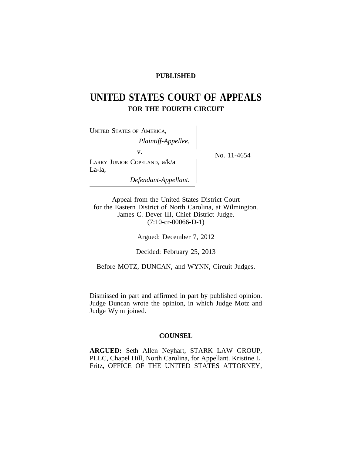## **PUBLISHED**

# **UNITED STATES COURT OF APPEALS FOR THE FOURTH CIRCUIT**

| <b>UNITED STATES OF AMERICA,</b><br>Plaintiff-Appellee, |             |
|---------------------------------------------------------|-------------|
| V.<br>LARRY JUNIOR COPELAND, a/k/a<br>La-la,            | No. 11-4654 |
| Defendant-Appellant.                                    |             |

Appeal from the United States District Court for the Eastern District of North Carolina, at Wilmington. James C. Dever III, Chief District Judge. (7:10-cr-00066-D-1)

Argued: December 7, 2012

Decided: February 25, 2013

Before MOTZ, DUNCAN, and WYNN, Circuit Judges.

Dismissed in part and affirmed in part by published opinion. Judge Duncan wrote the opinion, in which Judge Motz and Judge Wynn joined.

#### **COUNSEL**

**ARGUED:** Seth Allen Neyhart, STARK LAW GROUP, PLLC, Chapel Hill, North Carolina, for Appellant. Kristine L. Fritz, OFFICE OF THE UNITED STATES ATTORNEY,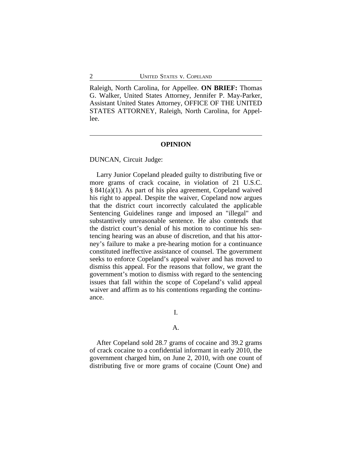Raleigh, North Carolina, for Appellee. **ON BRIEF:** Thomas G. Walker, United States Attorney, Jennifer P. May-Parker, Assistant United States Attorney, OFFICE OF THE UNITED STATES ATTORNEY, Raleigh, North Carolina, for Appellee.

#### **OPINION**

DUNCAN, Circuit Judge:

Larry Junior Copeland pleaded guilty to distributing five or more grams of crack cocaine, in violation of 21 U.S.C. § 841(a)(1). As part of his plea agreement, Copeland waived his right to appeal. Despite the waiver, Copeland now argues that the district court incorrectly calculated the applicable Sentencing Guidelines range and imposed an "illegal" and substantively unreasonable sentence. He also contends that the district court's denial of his motion to continue his sentencing hearing was an abuse of discretion, and that his attorney's failure to make a pre-hearing motion for a continuance constituted ineffective assistance of counsel. The government seeks to enforce Copeland's appeal waiver and has moved to dismiss this appeal. For the reasons that follow, we grant the government's motion to dismiss with regard to the sentencing issues that fall within the scope of Copeland's valid appeal waiver and affirm as to his contentions regarding the continuance.

### I.

#### A.

After Copeland sold 28.7 grams of cocaine and 39.2 grams of crack cocaine to a confidential informant in early 2010, the government charged him, on June 2, 2010, with one count of distributing five or more grams of cocaine (Count One) and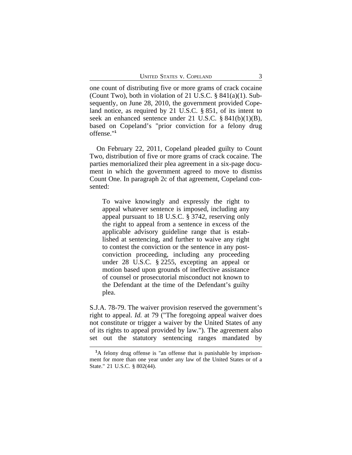one count of distributing five or more grams of crack cocaine (Count Two), both in violation of 21 U.S.C.  $\S$  841(a)(1). Subsequently, on June 28, 2010, the government provided Copeland notice, as required by 21 U.S.C. § 851, of its intent to seek an enhanced sentence under 21 U.S.C. § 841(b)(1)(B), based on Copeland's "prior conviction for a felony drug offense."**<sup>1</sup>**

On February 22, 2011, Copeland pleaded guilty to Count Two, distribution of five or more grams of crack cocaine. The parties memorialized their plea agreement in a six-page document in which the government agreed to move to dismiss Count One. In paragraph 2c of that agreement, Copeland consented:

To waive knowingly and expressly the right to appeal whatever sentence is imposed, including any appeal pursuant to 18 U.S.C. § 3742, reserving only the right to appeal from a sentence in excess of the applicable advisory guideline range that is established at sentencing, and further to waive any right to contest the conviction or the sentence in any postconviction proceeding, including any proceeding under 28 U.S.C. § 2255, excepting an appeal or motion based upon grounds of ineffective assistance of counsel or prosecutorial misconduct not known to the Defendant at the time of the Defendant's guilty plea.

S.J.A. 78-79. The waiver provision reserved the government's right to appeal. *Id.* at 79 ("The foregoing appeal waiver does not constitute or trigger a waiver by the United States of any of its rights to appeal provided by law."). The agreement also set out the statutory sentencing ranges mandated by

**<sup>1</sup>**A felony drug offense is "an offense that is punishable by imprisonment for more than one year under any law of the United States or of a State." 21 U.S.C. § 802(44).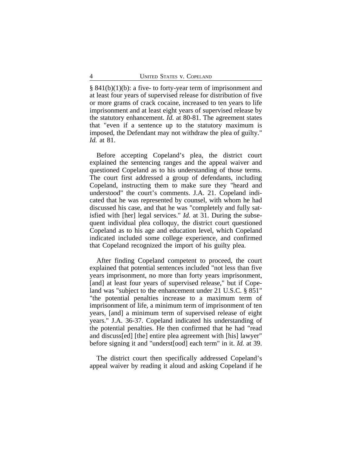§ 841(b)(1)(b): a five- to forty-year term of imprisonment and at least four years of supervised release for distribution of five or more grams of crack cocaine, increased to ten years to life imprisonment and at least eight years of supervised release by the statutory enhancement. *Id.* at 80-81. The agreement states that "even if a sentence up to the statutory maximum is imposed, the Defendant may not withdraw the plea of guilty." *Id.* at 81.

Before accepting Copeland's plea, the district court explained the sentencing ranges and the appeal waiver and questioned Copeland as to his understanding of those terms. The court first addressed a group of defendants, including Copeland, instructing them to make sure they "heard and understood" the court's comments. J.A. 21. Copeland indicated that he was represented by counsel, with whom he had discussed his case, and that he was "completely and fully satisfied with [her] legal services." *Id.* at 31. During the subsequent individual plea colloquy, the district court questioned Copeland as to his age and education level, which Copeland indicated included some college experience, and confirmed that Copeland recognized the import of his guilty plea.

After finding Copeland competent to proceed, the court explained that potential sentences included "not less than five years imprisonment, no more than forty years imprisonment, [and] at least four years of supervised release," but if Copeland was "subject to the enhancement under 21 U.S.C. § 851" "the potential penalties increase to a maximum term of imprisonment of life, a minimum term of imprisonment of ten years, [and] a minimum term of supervised release of eight years." J.A. 36-37. Copeland indicated his understanding of the potential penalties. He then confirmed that he had "read and discuss[ed] [the] entire plea agreement with [his] lawyer" before signing it and "underst[ood] each term" in it. *Id.* at 39.

The district court then specifically addressed Copeland's appeal waiver by reading it aloud and asking Copeland if he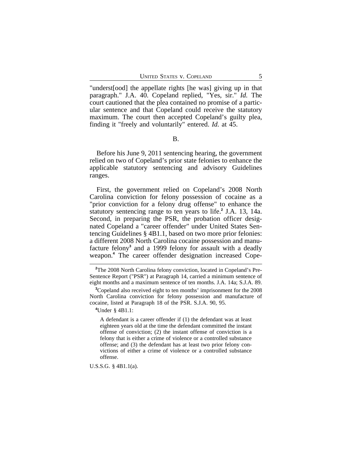"underst[ood] the appellate rights [he was] giving up in that paragraph." J.A. 40. Copeland replied, "Yes, sir." *Id.* The court cautioned that the plea contained no promise of a particular sentence and that Copeland could receive the statutory maximum. The court then accepted Copeland's guilty plea, finding it "freely and voluntarily" entered. *Id.* at 45.

### B.

Before his June 9, 2011 sentencing hearing, the government relied on two of Copeland's prior state felonies to enhance the applicable statutory sentencing and advisory Guidelines ranges.

First, the government relied on Copeland's 2008 North Carolina conviction for felony possession of cocaine as a "prior conviction for a felony drug offense" to enhance the statutory sentencing range to ten years to life.**<sup>2</sup>** J.A. 13, 14a. Second, in preparing the PSR, the probation officer designated Copeland a "career offender" under United States Sentencing Guidelines § 4B1.1, based on two more prior felonies: a different 2008 North Carolina cocaine possession and manufacture felony<sup>3</sup> and a 1999 felony for assault with a deadly weapon.**<sup>4</sup>** The career offender designation increased Cope-

**<sup>4</sup>**Under § 4B1.1:

A defendant is a career offender if (1) the defendant was at least eighteen years old at the time the defendant committed the instant offense of conviction; (2) the instant offense of conviction is a felony that is either a crime of violence or a controlled substance offense; and (3) the defendant has at least two prior felony convictions of either a crime of violence or a controlled substance offense.

U.S.S.G. § 4B1.1(a).

**<sup>2</sup>**The 2008 North Carolina felony conviction, located in Copeland's Pre-Sentence Report ("PSR") at Paragraph 14, carried a minimum sentence of eight months and a maximum sentence of ten months. J.A. 14a; S.J.A. 89.

**<sup>3</sup>**Copeland also received eight to ten months' imprisonment for the 2008 North Carolina conviction for felony possession and manufacture of cocaine, listed at Paragraph 18 of the PSR. S.J.A. 90, 95.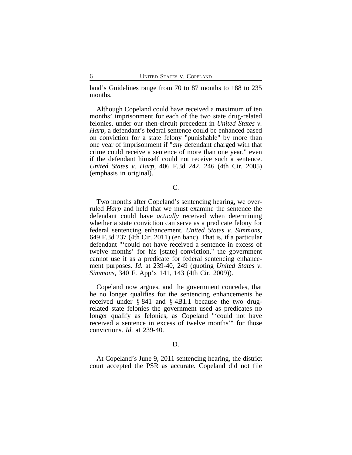land's Guidelines range from 70 to 87 months to 188 to 235 months.

Although Copeland could have received a maximum of ten months' imprisonment for each of the two state drug-related felonies, under our then-circuit precedent in *United States v. Harp*, a defendant's federal sentence could be enhanced based on conviction for a state felony "punishable" by more than one year of imprisonment if "*any* defendant charged with that crime could receive a sentence of more than one year," even if the defendant himself could not receive such a sentence. *United States v. Harp*, 406 F.3d 242, 246 (4th Cir. 2005) (emphasis in original).

C.

Two months after Copeland's sentencing hearing, we overruled *Harp* and held that we must examine the sentence the defendant could have *actually* received when determining whether a state conviction can serve as a predicate felony for federal sentencing enhancement. *United States v. Simmons*, 649 F.3d 237 (4th Cir. 2011) (en banc). That is, if a particular defendant "'could not have received a sentence in excess of twelve months' for his [state] conviction," the government cannot use it as a predicate for federal sentencing enhancement purposes. *Id.* at 239-40, 249 (quoting *United States v. Simmons*, 340 F. App'x 141, 143 (4th Cir. 2009)).

Copeland now argues, and the government concedes, that he no longer qualifies for the sentencing enhancements he received under § 841 and § 4B1.1 because the two drugrelated state felonies the government used as predicates no longer qualify as felonies, as Copeland "'could not have received a sentence in excess of twelve months'" for those convictions. *Id.* at 239-40.

#### D.

At Copeland's June 9, 2011 sentencing hearing, the district court accepted the PSR as accurate. Copeland did not file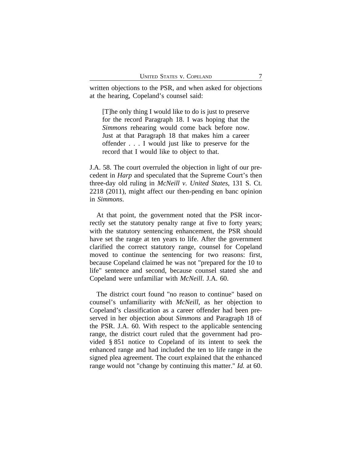written objections to the PSR, and when asked for objections at the hearing, Copeland's counsel said:

[T]he only thing I would like to do is just to preserve for the record Paragraph 18. I was hoping that the *Simmons* rehearing would come back before now. Just at that Paragraph 18 that makes him a career offender . . . I would just like to preserve for the record that I would like to object to that.

J.A. 58. The court overruled the objection in light of our precedent in *Harp* and speculated that the Supreme Court's then three-day old ruling in *McNeill v. United States*, 131 S. Ct. 2218 (2011), might affect our then-pending en banc opinion in *Simmons*.

At that point, the government noted that the PSR incorrectly set the statutory penalty range at five to forty years; with the statutory sentencing enhancement, the PSR should have set the range at ten years to life. After the government clarified the correct statutory range, counsel for Copeland moved to continue the sentencing for two reasons: first, because Copeland claimed he was not "prepared for the 10 to life" sentence and second, because counsel stated she and Copeland were unfamiliar with *McNeill*. J.A. 60.

The district court found "no reason to continue" based on counsel's unfamiliarity with *McNeill*, as her objection to Copeland's classification as a career offender had been preserved in her objection about *Simmons* and Paragraph 18 of the PSR. J.A. 60. With respect to the applicable sentencing range, the district court ruled that the government had provided § 851 notice to Copeland of its intent to seek the enhanced range and had included the ten to life range in the signed plea agreement. The court explained that the enhanced range would not "change by continuing this matter." *Id.* at 60.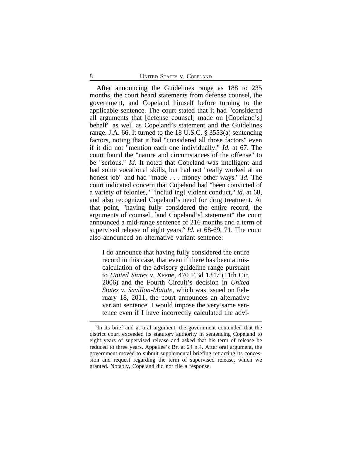After announcing the Guidelines range as 188 to 235 months, the court heard statements from defense counsel, the government, and Copeland himself before turning to the applicable sentence. The court stated that it had "considered all arguments that [defense counsel] made on [Copeland's] behalf" as well as Copeland's statement and the Guidelines range. J.A. 66. It turned to the 18 U.S.C. § 3553(a) sentencing factors, noting that it had "considered all those factors" even if it did not "mention each one individually." *Id.* at 67. The court found the "nature and circumstances of the offense" to be "serious." *Id.* It noted that Copeland was intelligent and had some vocational skills, but had not "really worked at an honest job" and had "made . . . money other ways." *Id.* The court indicated concern that Copeland had "been convicted of a variety of felonies," "includ[ing] violent conduct," *id.* at 68, and also recognized Copeland's need for drug treatment. At that point, "having fully considered the entire record, the arguments of counsel, [and Copeland's] statement" the court announced a mid-range sentence of 216 months and a term of supervised release of eight years.**<sup>5</sup>** *Id.* at 68-69, 71. The court also announced an alternative variant sentence:

I do announce that having fully considered the entire record in this case, that even if there has been a miscalculation of the advisory guideline range pursuant to *United States v. Keene*, 470 F.3d 1347 (11th Cir. 2006) and the Fourth Circuit's decision in *United States v. Savillon-Matute*, which was issued on February 18, 2011, the court announces an alternative variant sentence. I would impose the very same sentence even if I have incorrectly calculated the advi-

**<sup>5</sup>** In its brief and at oral argument, the government contended that the district court exceeded its statutory authority in sentencing Copeland to eight years of supervised release and asked that his term of release be reduced to three years. Appellee's Br. at 24 n.4. After oral argument, the government moved to submit supplemental briefing retracting its concession and request regarding the term of supervised release, which we granted. Notably, Copeland did not file a response.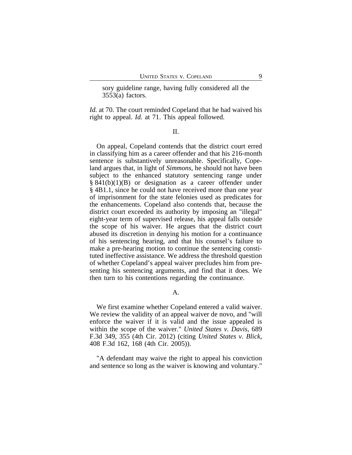sory guideline range, having fully considered all the 3553(a) factors.

*Id.* at 70. The court reminded Copeland that he had waived his right to appeal. *Id.* at 71. This appeal followed.

II.

On appeal, Copeland contends that the district court erred in classifying him as a career offender and that his 216-month sentence is substantively unreasonable. Specifically, Copeland argues that, in light of *Simmons*, he should not have been subject to the enhanced statutory sentencing range under  $§ 841(b)(1)(B)$  or designation as a career offender under § 4B1.1, since he could not have received more than one year of imprisonment for the state felonies used as predicates for the enhancements. Copeland also contends that, because the district court exceeded its authority by imposing an "illegal" eight-year term of supervised release, his appeal falls outside the scope of his waiver. He argues that the district court abused its discretion in denying his motion for a continuance of his sentencing hearing, and that his counsel's failure to make a pre-hearing motion to continue the sentencing constituted ineffective assistance. We address the threshold question of whether Copeland's appeal waiver precludes him from presenting his sentencing arguments, and find that it does. We then turn to his contentions regarding the continuance.

A.

We first examine whether Copeland entered a valid waiver. We review the validity of an appeal waiver de novo, and "will enforce the waiver if it is valid and the issue appealed is within the scope of the waiver." *United States v. Davis*, 689 F.3d 349, 355 (4th Cir. 2012) (citing *United States v. Blick*, 408 F.3d 162, 168 (4th Cir. 2005)).

"A defendant may waive the right to appeal his conviction and sentence so long as the waiver is knowing and voluntary."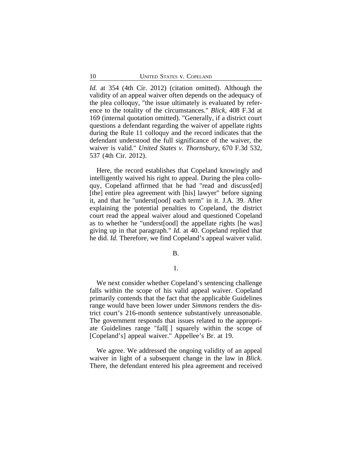*Id.* at 354 (4th Cir. 2012) (citation omitted). Although the validity of an appeal waiver often depends on the adequacy of the plea colloquy, "the issue ultimately is evaluated by reference to the totality of the circumstances." *Blick*, 408 F.3d at 169 (internal quotation omitted). "Generally, if a district court questions a defendant regarding the waiver of appellate rights during the Rule 11 colloquy and the record indicates that the defendant understood the full significance of the waiver, the waiver is valid." *United States v. Thornsbury*, 670 F.3d 532, 537 (4th Cir. 2012).

Here, the record establishes that Copeland knowingly and intelligently waived his right to appeal. During the plea colloquy, Copeland affirmed that he had "read and discuss[ed] [the] entire plea agreement with [his] lawyer" before signing it, and that he "underst[ood] each term" in it. J.A. 39. After explaining the potential penalties to Copeland, the district court read the appeal waiver aloud and questioned Copeland as to whether he "underst[ood] the appellate rights [he was] giving up in that paragraph." *Id.* at 40. Copeland replied that he did. *Id.* Therefore, we find Copeland's appeal waiver valid.

B.

#### 1.

We next consider whether Copeland's sentencing challenge falls within the scope of his valid appeal waiver. Copeland primarily contends that the fact that the applicable Guidelines range would have been lower under *Simmons* renders the district court's 216-month sentence substantively unreasonable. The government responds that issues related to the appropriate Guidelines range "fall[ ] squarely within the scope of [Copeland's] appeal waiver." Appellee's Br. at 19.

We agree. We addressed the ongoing validity of an appeal waiver in light of a subsequent change in the law in *Blick*. There, the defendant entered his plea agreement and received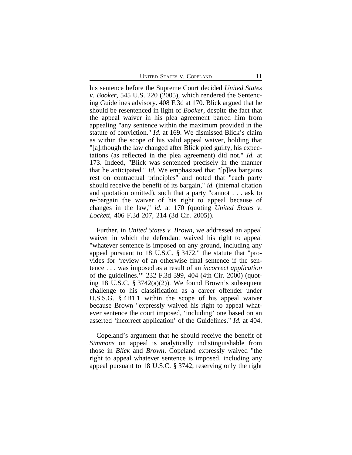his sentence before the Supreme Court decided *United States v. Booker*, 545 U.S. 220 (2005), which rendered the Sentencing Guidelines advisory. 408 F.3d at 170. Blick argued that he should be resentenced in light of *Booker*, despite the fact that the appeal waiver in his plea agreement barred him from appealing "any sentence within the maximum provided in the statute of conviction." *Id.* at 169. We dismissed Blick's claim as within the scope of his valid appeal waiver, holding that "[a]lthough the law changed after Blick pled guilty, his expectations (as reflected in the plea agreement) did not." *Id.* at 173. Indeed, "Blick was sentenced precisely in the manner that he anticipated." *Id.* We emphasized that "[p]lea bargains rest on contractual principles" and noted that "each party should receive the benefit of its bargain," *id.* (internal citation and quotation omitted), such that a party "cannot . . . ask to re-bargain the waiver of his right to appeal because of changes in the law," *id.* at 170 (quoting *United States v. Lockett*, 406 F.3d 207, 214 (3d Cir. 2005)).

Further, in *United States v. Brown*, we addressed an appeal waiver in which the defendant waived his right to appeal "whatever sentence is imposed on any ground, including any appeal pursuant to 18 U.S.C. § 3472," the statute that "provides for 'review of an otherwise final sentence if the sentence . . . was imposed as a result of an *incorrect application* of the guidelines.'" 232 F.3d 399, 404 (4th Cir. 2000) (quoting 18 U.S.C. § 3742(a)(2)). We found Brown's subsequent challenge to his classification as a career offender under U.S.S.G. § 4B1.1 within the scope of his appeal waiver because Brown "expressly waived his right to appeal whatever sentence the court imposed, 'including' one based on an asserted 'incorrect application' of the Guidelines." *Id.* at 404.

Copeland's argument that he should receive the benefit of *Simmons* on appeal is analytically indistinguishable from those in *Blick* and *Brown*. Copeland expressly waived "the right to appeal whatever sentence is imposed, including any appeal pursuant to 18 U.S.C. § 3742, reserving only the right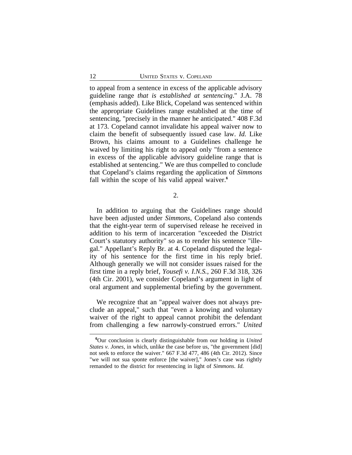to appeal from a sentence in excess of the applicable advisory guideline range *that is established at sentencing*." J.A. 78 (emphasis added). Like Blick, Copeland was sentenced within the appropriate Guidelines range established at the time of sentencing, "precisely in the manner he anticipated." 408 F.3d at 173. Copeland cannot invalidate his appeal waiver now to claim the benefit of subsequently issued case law. *Id.* Like Brown, his claims amount to a Guidelines challenge he waived by limiting his right to appeal only "from a sentence in excess of the applicable advisory guideline range that is established at sentencing." We are thus compelled to conclude that Copeland's claims regarding the application of *Simmons* fall within the scope of his valid appeal waiver.**<sup>6</sup>**

2.

In addition to arguing that the Guidelines range should have been adjusted under *Simmons*, Copeland also contends that the eight-year term of supervised release he received in addition to his term of incarceration "exceeded the District Court's statutory authority" so as to render his sentence "illegal." Appellant's Reply Br. at 4. Copeland disputed the legality of his sentence for the first time in his reply brief. Although generally we will not consider issues raised for the first time in a reply brief, *Yousefi v. I.N.S.*, 260 F.3d 318, 326 (4th Cir. 2001), we consider Copeland's argument in light of oral argument and supplemental briefing by the government.

We recognize that an "appeal waiver does not always preclude an appeal," such that "even a knowing and voluntary waiver of the right to appeal cannot prohibit the defendant from challenging a few narrowly-construed errors." *United*

**<sup>6</sup>**Our conclusion is clearly distinguishable from our holding in *United States v. Jones*, in which, unlike the case before us, "the government [did] not seek to enforce the waiver." 667 F.3d 477, 486 (4th Cir. 2012). Since "we will not sua sponte enforce [the waiver]," Jones's case was rightly remanded to the district for resentencing in light of *Simmons*. *Id.*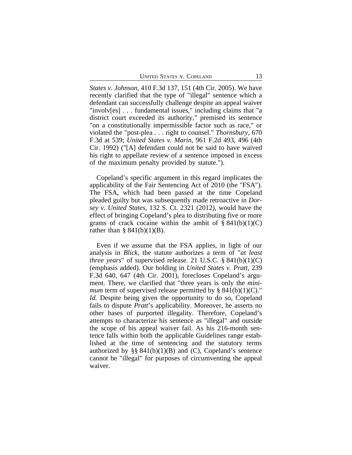*States v. Johnson*, 410 F.3d 137, 151 (4th Cir. 2005). We have recently clarified that the type of "illegal" sentence which a defendant can successfully challenge despite an appeal waiver "involv[es] . . . fundamental issues," including claims that "a district court exceeded its authority," premised its sentence "on a constitutionally impermissible factor such as race," or violated the "post-plea . . . right to counsel." *Thornsbury*, 670 F.3d at 539; *United States v. Marin*, 961 F.2d 493, 496 (4th Cir. 1992) ("[A] defendant could not be said to have waived his right to appellate review of a sentence imposed in excess of the maximum penalty provided by statute.").

Copeland's specific argument in this regard implicates the applicability of the Fair Sentencing Act of 2010 (the "FSA"). The FSA, which had been passed at the time Copeland pleaded guilty but was subsequently made retroactive in *Dorsey v. United States*, 132 S. Ct. 2321 (2012), would have the effect of bringing Copeland's plea to distributing five or more grams of crack cocaine within the ambit of  $\S 841(b)(1)(C)$ rather than  $\S$  841(b)(1)(B).

Even if we assume that the FSA applies, in light of our analysis in *Blick*, the statute authorizes a term of "*at least three years*" of supervised release. 21 U.S.C. § 841(b)(1)(C) (emphasis added). Our holding in *United States v. Pratt*, 239 F.3d 640, 647 (4th Cir. 2001), forecloses Copeland's argument. There, we clarified that "three years is only the *minimum* term of supervised release permitted by  $\S$  841(b)(1)(C)." *Id.* Despite being given the opportunity to do so, Copeland fails to dispute *Pratt*'s applicability. Moreover, he asserts no other bases of purported illegality. Therefore, Copeland's attempts to characterize his sentence as "illegal" and outside the scope of his appeal waiver fail. As his 216-month sentence falls within both the applicable Guidelines range established at the time of sentencing and the statutory terms authorized by  $\S\S 841(b)(1)(B)$  and (C), Copeland's sentence cannot be "illegal" for purposes of circumventing the appeal waiver.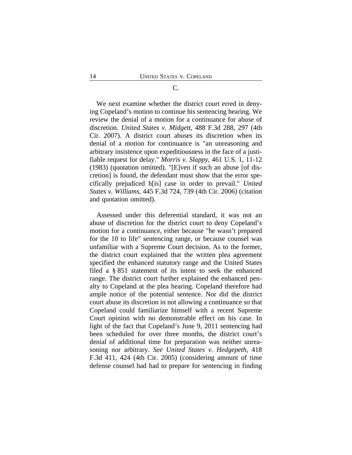#### C.

We next examine whether the district court erred in denying Copeland's motion to continue his sentencing hearing. We review the denial of a motion for a continuance for abuse of discretion. *United States v. Midgett*, 488 F.3d 288, 297 (4th Cir. 2007). A district court abuses its discretion when its denial of a motion for continuance is "an unreasoning and arbitrary insistence upon expeditiousness in the face of a justifiable request for delay." *Morris v. Slappy*, 461 U.S. 1, 11-12 (1983) (quotation omitted). "[E]ven if such an abuse [of discretion] is found, the defendant must show that the error specifically prejudiced h[is] case in order to prevail." *United States v. Williams*, 445 F.3d 724, 739 (4th Cir. 2006) (citation and quotation omitted).

Assessed under this deferential standard, it was not an abuse of discretion for the district court to deny Copeland's motion for a continuance, either because "he wasn't prepared for the 10 to life" sentencing range, or because counsel was unfamiliar with a Supreme Court decision. As to the former, the district court explained that the written plea agreement specified the enhanced statutory range and the United States filed a § 851 statement of its intent to seek the enhanced range. The district court further explained the enhanced penalty to Copeland at the plea hearing. Copeland therefore had ample notice of the potential sentence. Nor did the district court abuse its discretion in not allowing a continuance so that Copeland could familiarize himself with a recent Supreme Court opinion with no demonstrable effect on his case. In light of the fact that Copeland's June 9, 2011 sentencing had been scheduled for over three months, the district court's denial of additional time for preparation was neither unreasoning nor arbitrary. *See United States v. Hedgepeth*, 418 F.3d 411, 424 (4th Cir. 2005) (considering amount of time defense counsel had had to prepare for sentencing in finding